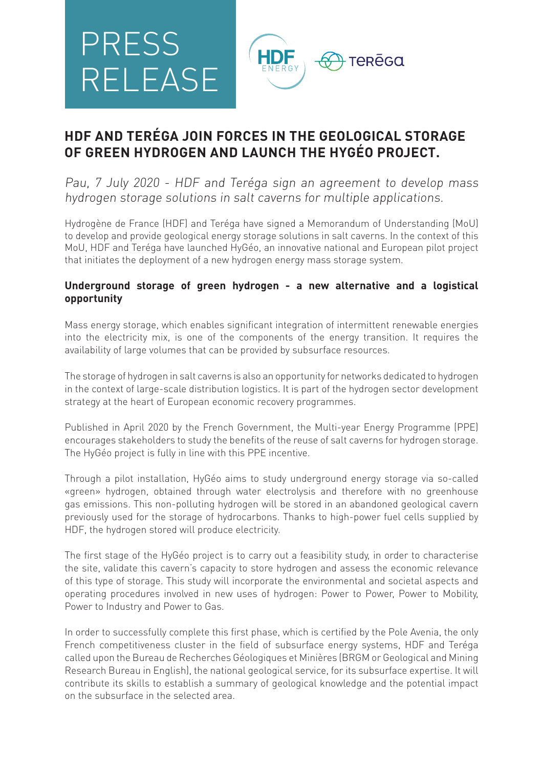

# **HDF AND TERÉGA JOIN FORCES IN THE GEOLOGICAL STORAGE OF GREEN HYDROGEN AND LAUNCH THE HYGÉO PROJECT.**

Pau, 7 July 2020 - HDF and Teréga sign an agreement to develop mass hydrogen storage solutions in salt caverns for multiple applications.

Hydrogène de France (HDF) and Teréga have signed a Memorandum of Understanding (MoU) to develop and provide geological energy storage solutions in salt caverns. In the context of this MoU, HDF and Teréga have launched HyGéo, an innovative national and European pilot project that initiates the deployment of a new hydrogen energy mass storage system.

### **Underground storage of green hydrogen - a new alternative and a logistical opportunity**

Mass energy storage, which enables significant integration of intermittent renewable energies into the electricity mix, is one of the components of the energy transition. It requires the availability of large volumes that can be provided by subsurface resources.

The storage of hydrogen in salt caverns is also an opportunity for networks dedicated to hydrogen in the context of large-scale distribution logistics. It is part of the hydrogen sector development strategy at the heart of European economic recovery programmes.

Published in April 2020 by the French Government, the Multi-year Energy Programme (PPE) encourages stakeholders to study the benefits of the reuse of salt caverns for hydrogen storage. The HyGéo project is fully in line with this PPE incentive.

Through a pilot installation, HyGéo aims to study underground energy storage via so-called «green» hydrogen, obtained through water electrolysis and therefore with no greenhouse gas emissions. This non-polluting hydrogen will be stored in an abandoned geological cavern previously used for the storage of hydrocarbons. Thanks to high-power fuel cells supplied by HDF, the hydrogen stored will produce electricity.

The first stage of the HyGéo project is to carry out a feasibility study, in order to characterise the site, validate this cavern's capacity to store hydrogen and assess the economic relevance of this type of storage. This study will incorporate the environmental and societal aspects and operating procedures involved in new uses of hydrogen: Power to Power, Power to Mobility, Power to Industry and Power to Gas.

In order to successfully complete this first phase, which is certified by the Pole Avenia, the only French competitiveness cluster in the field of subsurface energy systems, HDF and Teréga called upon the Bureau de Recherches Géologiques et Minières (BRGM or Geological and Mining Research Bureau in English), the national geological service, for its subsurface expertise. It will contribute its skills to establish a summary of geological knowledge and the potential impact on the subsurface in the selected area.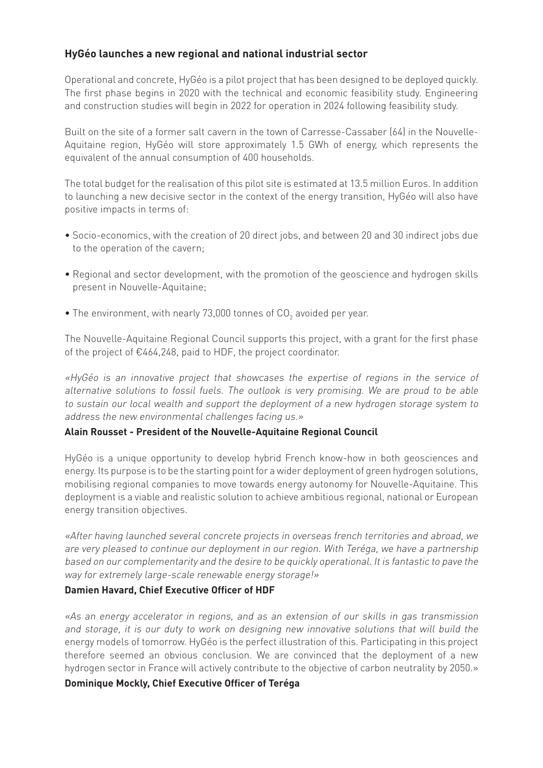## **HyGéo launches a new regional and national industrial sector**

Operational and concrete, HyGéo is a pilot project that has been designed to be deployed quickly. The first phase begins in 2020 with the technical and economic feasibility study. Engineering and construction studies will begin in 2022 for operation in 2024 following feasibility study.

Built on the site of a former salt cavern in the town of Carresse-Cassaber (64) in the Nouvelle-Aquitaine region, HyGéo will store approximately 1.5 GWh of energy, which represents the equivalent of the annual consumption of 400 households.

The total budget for the realisation of this pilot site is estimated at 13.5 million Euros. In addition to launching a new decisive sector in the context of the energy transition, HyGéo will also have positive impacts in terms of:

- Socio-economics, with the creation of 20 direct jobs, and between 20 and 30 indirect jobs due to the operation of the cavern;
- Regional and sector development, with the promotion of the geoscience and hydrogen skills present in Nouvelle-Aquitaine;
- $\bullet$  The environment, with nearly 73,000 tonnes of CO<sub>2</sub> avoided per year.

The Nouvelle-Aquitaine Regional Council supports this project, with a grant for the first phase of the project of €464,248, paid to HDF, the project coordinator.

«HyGéo is an innovative project that showcases the expertise of regions in the service of alternative solutions to fossil fuels. The outlook is very promising. We are proud to be able to sustain our local wealth and support the deployment of a new hydrogen storage system to address the new environmental challenges facing us.»

#### **Alain Rousset - President of the Nouvelle-Aquitaine Regional Council**

HyGéo is a unique opportunity to develop hybrid French know-how in both geosciences and energy. Its purpose is to be the starting point for a wider deployment of green hydrogen solutions, mobilising regional companies to move towards energy autonomy for Nouvelle-Aquitaine. This deployment is a viable and realistic solution to achieve ambitious regional, national or European energy transition objectives.

«After having launched several concrete projects in overseas french territories and abroad, we are very pleased to continue our deployment in our region. With Teréga, we have a partnership based on our complementarity and the desire to be quickly operational. It is fantastic to pave the way for extremely large-scale renewable energy storage!»

#### **Damien Havard, Chief Executive Officer of HDF**

«As an energy accelerator in regions, and as an extension of our skills in gas transmission and storage, it is our duty to work on designing new innovative solutions that will build the energy models of tomorrow. HyGéo is the perfect illustration of this. Participating in this project therefore seemed an obvious conclusion. We are convinced that the deployment of a new hydrogen sector in France will actively contribute to the objective of carbon neutrality by 2050.»

#### **Dominique Mockly, Chief Executive Officer of Teréga**